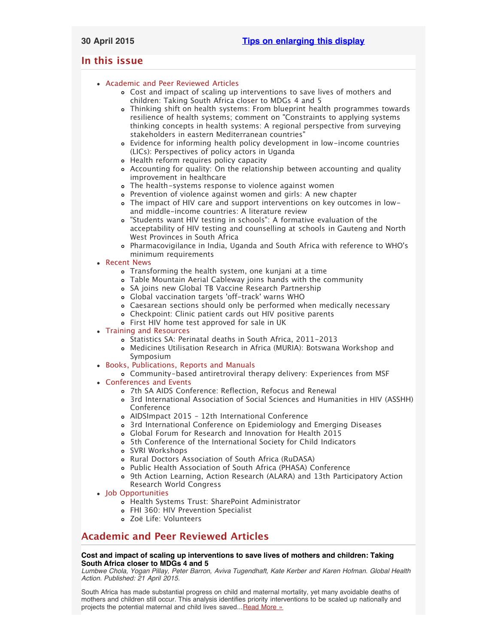## <span id="page-0-2"></span>**In this issue**

## [Academic and Peer Reviewed Articles](#page-0-0)

- [Cost and impact of scaling up interventions to save lives of mothers and](#page-0-1) [children: Taking South Africa closer to MDGs 4 and 5](#page-0-1)
- [Thinking shift on health systems: From blueprint health programmes towards](#page-1-0) [resilience of health systems; comment on "Constraints to applying systems](#page-1-0) [thinking concepts in health systems: A regional perspective from surveying](#page-1-0) [stakeholders in eastern Mediterranean countries"](#page-1-0)
- [Evidence for informing health policy development in low-income countries](#page-1-1) [\(LICs\): Perspectives of policy actors in Uganda](#page-1-1)
- [Health reform requires policy capacity](#page-1-2)
- [Accounting for quality: On the relationship between accounting and quality](#page-1-3) [improvement in healthcare](#page-1-3)
- [The health-systems response to violence against women](#page-1-4)
- [Prevention of violence against women and girls: A new chapter](#page-1-5)
- [The impact of HIV care and support interventions on key outcomes in low](#page-1-6)[and middle-income countries: A literature review](#page-1-6)
- ["Students want HIV testing in schools": A formative evaluation of the](#page-2-0) [acceptability of HIV testing and counselling at schools in Gauteng and North](#page-2-0) [West Provinces in South Africa](#page-2-0)
- [Pharmacovigilance in India, Uganda and South Africa with reference to WHO](#page-2-1)'s [minimum requirements](#page-2-1)

## [Recent News](#page-2-2)

- [Transforming the health system, one kunjani at a time](#page-2-3)
- [Table Mountain Aerial Cableway joins hands with the community](#page-2-4)
- [SA joins new Global TB Vaccine Research Partnership](#page-2-5)
- [Global vaccination targets](#page-2-6) 'off-track' warns WHO
- [Caesarean sections should only be performed when medically necessary](#page-3-0)
- [Checkpoint: Clinic patient cards out HIV positive parents](#page-3-1)
- [First HIV home test approved for sale in UK](#page-3-2)

## [Training and Resources](#page-3-3)

- [Statistics SA: Perinatal deaths in South Africa, 2011-2013](#page-3-4)
- [Medicines Utilisation Research in Africa \(MURIA\): Botswana Workshop and](#page-3-5) [Symposium](#page-3-5)
- [Books, Publications, Reports and Manuals](#page-3-6)
	- [Community-based antiretroviral therapy delivery: Experiences from MSF](#page-3-7)
- [Conferences and Events](#page-3-8)
	- [7th SA AIDS Conference: Reflection, Refocus and Renewal](#page-3-9)
	- [3rd International Association of Social Sciences and Humanities in HIV \(ASSHH\)](#page-4-0) [Conference](#page-4-0)
	- [AIDSImpact 2015 12th International Conference](#page-4-1)
	- [3rd International Conference on Epidemiology and Emerging Diseases](#page-4-2)
	- [Global Forum for Research and Innovation for Health 2015](#page-4-3)
	- [5th Conference of the International Society for Child Indicators](#page-4-4)
	- [SVRI Workshops](#page-4-5)
	- [Rural Doctors Association of South Africa \(RuDASA\)](#page-5-0)
	- [Public Health Association of South Africa \(PHASA\) Conference](#page-5-1)
	- [9th Action Learning, Action Research \(ALARA\) and 13th Participatory Action](#page-5-2) [Research World Congress](#page-5-2)
- [Job Opportunities](#page-5-3)
	- [Health Systems Trust: SharePoint Administrator](#page-5-4)
	- [FHI 360: HIV Prevention Specialist](#page-5-5)
	- [Zoë Life: Volunteers](#page-5-6)

# <span id="page-0-0"></span>**Academic and Peer Reviewed Articles**

## <span id="page-0-1"></span>**Cost and impact of scaling up interventions to save lives of mothers and children: Taking South Africa closer to MDGs 4 and 5**

*Lumbwe Chola, Yogan Pillay, Peter Barron, Aviva Tugendhaft, Kate Kerber and Karen Hofman. Global Health Action. Published: 21 April 2015.*

South Africa has made substantial progress on child and maternal mortality, yet many avoidable deaths of mothers and children still occur. This analysis identifies priority interventions to be scaled up nationally and projects the potential maternal and child lives saved... [Read More »](http://www.globalhealthaction.net/index.php/gha/article/view/27265)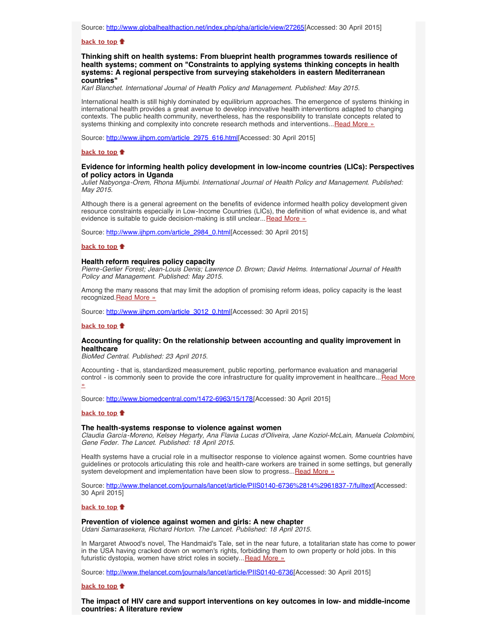#### **[back to top](#page-0-2)**

<span id="page-1-0"></span>**Thinking shift on health systems: From blueprint health programmes towards resilience of health systems; comment on "Constraints to applying systems thinking concepts in health systems: A regional perspective from surveying stakeholders in eastern Mediterranean countries"**

*Karl Blanchet. International Journal of Health Policy and Management. Published: May 2015.*

International health is still highly dominated by equilibrium approaches. The emergence of systems thinking in international health provides a great avenue to develop innovative health interventions adapted to changing contexts. The public health community, nevertheless, has the responsibility to translate concepts related to systems thinking and complexity into concrete research methods and interventions... [Read More »](http://www.ijhpm.com/article_2975_616.html)

Source: [http://www.ijhpm.com/article\\_2975\\_616.html\[](http://www.ijhpm.com/article_2975_616.html)Accessed: 30 April 2015]

#### **[back to top](#page-0-2)**

## <span id="page-1-1"></span>**Evidence for informing health policy development in low-income countries (LICs): Perspectives of policy actors in Uganda**

*Juliet Nabyonga-Orem, Rhona Mijumbi. International Journal of Health Policy and Management. Published: May 2015.*

Although there is a general agreement on the benefits of evidence informed health policy development given resource constraints especially in Low-Income Countries (LICs), the definition of what evidence is, and what evidence is suitable to guide decision-making is still unclear... [Read More »](http://www.ijhpm.com/article_2984_0.html)

Source: [http://www.ijhpm.com/article\\_2984\\_0.html\[](http://www.ijhpm.com/article_2984_0.html)Accessed: 30 April 2015]

#### **[back to top](#page-0-2)**

#### <span id="page-1-2"></span>**Health reform requires policy capacity**

*Pierre-Gerlier Forest; Jean-Louis Denis; Lawrence D. Brown; David Helms. International Journal of Health Policy and Management. Published: May 2015.*

Among the many reasons that may limit the adoption of promising reform ideas, policy capacity is the least recognized. [Read More »](http://www.ijhpm.com/article_3012_0.html)

Source: [http://www.ijhpm.com/article\\_3012\\_0.html\[](http://www.ijhpm.com/article_3012_0.html)Accessed: 30 April 2015]

#### **[back to top](#page-0-2)**

#### <span id="page-1-3"></span>**Accounting for quality: On the relationship between accounting and quality improvement in healthcare**

*BioMed Central. Published: 23 April 2015.*

Accounting - that is, standardized measurement, public reporting, performance evaluation and managerial control - is commonly seen to provide the core infrastructure for quality improvement in healthcare... [Read More](http://www.biomedcentral.com/1472-6963/15/178) [»](http://www.biomedcentral.com/1472-6963/15/178)

Source: [http://www.biomedcentral.com/1472-6963/15/178\[](http://www.biomedcentral.com/1472-6963/15/178)Accessed: 30 April 2015]

#### **[back to top](#page-0-2)**

#### <span id="page-1-4"></span>**The health-systems response to violence against women**

*Claudia García-Moreno, Kelsey Hegarty, Ana Flavia Lucas d'Oliveira, Jane Koziol-McLain, Manuela Colombini, Gene Feder. The Lancet. Published: 18 April 2015.*

Health systems have a crucial role in a multisector response to violence against women. Some countries have guidelines or protocols articulating this role and health-care workers are trained in some settings, but generally system development and implementation have been slow to progress... [Read More »](http://www.thelancet.com/journals/lancet/article/PIIS0140-6736%2814%2961837-7/fulltext)

Source: <http://www.thelancet.com/journals/lancet/article/PIIS0140-6736%2814%2961837-7/fulltext>[Accessed: 30 April 2015]

#### **[back to top](#page-0-2)**

## <span id="page-1-5"></span>**Prevention of violence against women and girls: A new chapter**

*Udani Samarasekera, Richard Horton. The Lancet. Published: 18 April 2015.*

In Margaret Atwood's novel, The Handmaid's Tale, set in the near future, a totalitarian state has come to power in the USA having cracked down on women's rights, forbidding them to own property or hold jobs. In this futuristic dystopia, women have strict roles in society... [Read More »](http://www.thelancet.com/journals/lancet/article/PIIS0140-6736(14)61775-X/fulltext?elsca1=etoc&elsca2=email&elsca3=0140-6736_20150418_385_9977_&elsca4=Public%20Health%7CInfectious%20Diseases%7CHealth%20Policy%7CInternal%2FFamily%20Medicine%7CGeneral%20Surgery%7CLancet)

Source: [http://www.thelancet.com/journals/lancet/article/PIIS0140-6736](http://www.thelancet.com/journals/lancet/article/PIIS0140-6736(14)61775-X/fulltext?elsca1=etoc&elsca2=email&elsca3=0140-6736_20150418_385_9977_&elsca4=Public%20Health%7CInfectious%20Diseases%7CHealth%20Policy%7CInternal%2FFamily%20Medicine%7CGeneral%20Surgery%7CLancet)[Accessed: 30 April 2015]

#### **[back to top](#page-0-2)**

<span id="page-1-6"></span>**The impact of HIV care and support interventions on key outcomes in low- and middle-income countries: A literature review**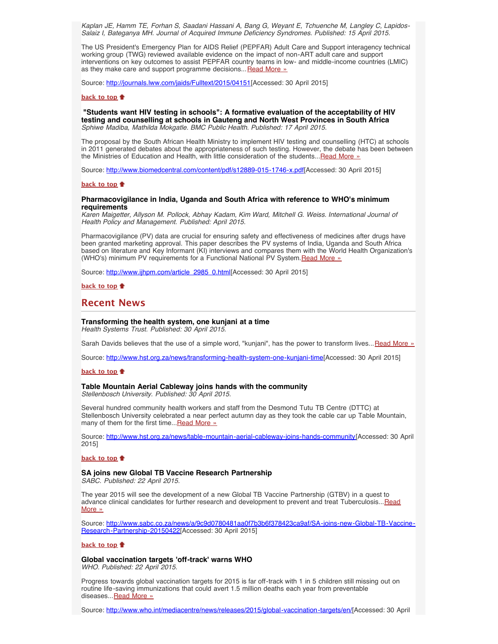*Kaplan JE, Hamm TE, Forhan S, Saadani Hassani A, Bang G, Weyant E, Tchuenche M, Langley C, Lapidos-Salaiz I, Bateganya MH. Journal of Acquired Immune Deficiency Syndromes. Published: 15 April 2015.*

The US President's Emergency Plan for AIDS Relief (PEPFAR) Adult Care and Support interagency technical working group (TWG) reviewed available evidence on the impact of non-ART adult care and support interventions on key outcomes to assist PEPFAR country teams in low- and middle-income countries (LMIC) as they make care and support programme decisions... [Read More »](http://journals.lww.com/jaids/Fulltext/2015/04151/The_Impact_of_HIV_Care_and_Support_Interventions.1.aspx)

Source: [http://journals.lww.com/jaids/Fulltext/2015/04151\[](http://journals.lww.com/jaids/Fulltext/2015/04151/The_Impact_of_HIV_Care_and_Support_Interventions.1.aspx)Accessed: 30 April 2015]

## **[back to top](#page-0-2)**

<span id="page-2-0"></span> **"Students want HIV testing in schools": A formative evaluation of the acceptability of HIV testing and counselling at schools in Gauteng and North West Provinces in South Africa** *Sphiwe Madiba, Mathilda Mokgatle. BMC Public Health. Published: 17 April 2015.*

The proposal by the South African Health Ministry to implement HIV testing and counselling (HTC) at schools in 2011 generated debates about the appropriateness of such testing. However, the debate has been between the Ministries of Education and Health, with little consideration of the students... [Read More »](http://www.biomedcentral.com/content/pdf/s12889-015-1746-x.pdf)

Source: [http://www.biomedcentral.com/content/pdf/s12889-015-1746-x.pdf\[](http://www.biomedcentral.com/content/pdf/s12889-015-1746-x.pdf)Accessed: 30 April 2015]

## **[back to top](#page-0-2)**

### <span id="page-2-1"></span>**Pharmacovigilance in India, Uganda and South Africa with reference to WHO's minimum requirements**

*Karen Maigetter, Allyson M. Pollock, Abhay Kadam, Kim Ward, Mitchell G. Weiss. International Journal of Health Policy and Management. Published: April 2015.*

Pharmacovigilance (PV) data are crucial for ensuring safety and effectiveness of medicines after drugs have been granted marketing approval. This paper describes the PV systems of India, Uganda and South Africa based on literature and Key Informant (KI) interviews and compares them with the World Health Organization's (WHO's) minimum PV requirements for a Functional National PV System. [Read More »](http://www.ijhpm.com/article_2985_0.html)

Source: [http://www.ijhpm.com/article\\_2985\\_0.html\[](http://www.ijhpm.com/article_2985_0.html)Accessed: 30 April 2015]

**[back to top](#page-0-2)**

## <span id="page-2-2"></span>**Recent News**

## <span id="page-2-3"></span>**Transforming the health system, one kunjani at a time** *Health Systems Trust. Published: 30 April 2015.*

Sarah Davids believes that the use of a simple word, "kunjani", has the power to transform lives... [Read More »](http://www.hst.org.za/news/transforming-health-system-one-kunjani-time)

Source: [http://www.hst.org.za/news/transforming-health-system-one-kunjani-time\[](http://www.hst.org.za/news/transforming-health-system-one-kunjani-time)Accessed: 30 April 2015]

### **[back to top](#page-0-2)**

#### <span id="page-2-4"></span>**Table Mountain Aerial Cableway joins hands with the community**

*Stellenbosch University. Published: 30 April 2015.*

Several hundred community health workers and staff from the Desmond Tutu TB Centre (DTTC) at Stellenbosch University celebrated a near perfect autumn day as they took the cable car up Table Mountain, many of them for the first time...[Read More »](http://www.hst.org.za/news/table-mountain-aerial-cableway-joins-hands-community)

Source: [http://www.hst.org.za/news/table-mountain-aerial-cableway-joins-hands-community\[](http://www.hst.org.za/news/table-mountain-aerial-cableway-joins-hands-community)Accessed: 30 April 2015]

#### **[back to top](#page-0-2)**

## <span id="page-2-5"></span>**SA joins new Global TB Vaccine Research Partnership**

*SABC. Published: 22 April 2015.*

The year 2015 will see the development of a new Global TB Vaccine Partnership (GTBV) in a quest to advance clinical candidates for further research and development to prevent and treat Tuberculosis... [Read](http://www.hst.org.za/news/sa-joins-new-global-tb-vaccine-research-partnership) [More »](http://www.hst.org.za/news/sa-joins-new-global-tb-vaccine-research-partnership)

Source: [http://www.sabc.co.za/news/a/9c9d0780481aa0f7b3b6f378423ca9af/SA-joins-new-Global-TB-Vaccine-](http://www.sabc.co.za/news/a/9c9d0780481aa0f7b3b6f378423ca9af/SA-joins-new-Global-TB-Vaccine-Research-Partnership-20150422)[Research-Partnership-20150422\[](http://www.sabc.co.za/news/a/9c9d0780481aa0f7b3b6f378423ca9af/SA-joins-new-Global-TB-Vaccine-Research-Partnership-20150422)Accessed: 30 April 2015]

## **[back to top](#page-0-2)**

<span id="page-2-6"></span>**Global vaccination targets 'off-track' warns WHO** *WHO. Published: 22 April 2015.*

Progress towards global vaccination targets for 2015 is far off-track with 1 in 5 children still missing out on routine life-saving immunizations that could avert 1.5 million deaths each year from preventable diseases... [Read More »](http://www.hst.org.za/news/global-vaccination-targets-track-warns-who)

Source: <http://www.who.int/mediacentre/news/releases/2015/global-vaccination-targets/en/>[Accessed: 30 April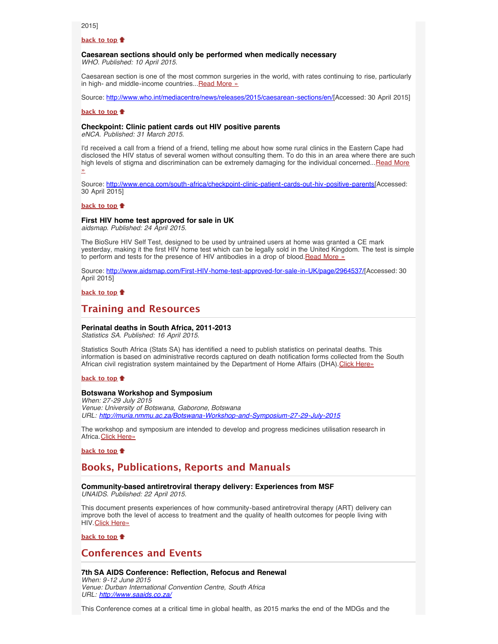2015]

## **[back to top](#page-0-2)**

#### <span id="page-3-0"></span>**Caesarean sections should only be performed when medically necessary** *WHO. Published: 10 April 2015.*

Caesarean section is one of the most common surgeries in the world, with rates continuing to rise, particularly in high- and middle-income countries... [Read More »](http://www.who.int/mediacentre/news/releases/2015/caesarean-sections/en/)

Source: [http://www.who.int/mediacentre/news/releases/2015/caesarean-sections/en/\[](http://www.who.int/mediacentre/news/releases/2015/caesarean-sections/en/)Accessed: 30 April 2015]

#### **[back to top](#page-0-2)**

## <span id="page-3-1"></span>**Checkpoint: Clinic patient cards out HIV positive parents**

*eNCA. Published: 31 March 2015.*

I'd received a call from a friend of a friend, telling me about how some rural clinics in the Eastern Cape had disclosed the HIV status of several women without consulting them. To do this in an area where there are such high levels of stigma and discrimination can be extremely damaging for the individual concerned... [Read More](http://www.hst.org.za/news/checkpoint-clinic-patient-cards-out-hiv-positive-parents) [»](http://www.hst.org.za/news/checkpoint-clinic-patient-cards-out-hiv-positive-parents)

Source: [http://www.enca.com/south-africa/checkpoint-clinic-patient-cards-out-hiv-positive-parents\[](http://www.enca.com/south-africa/checkpoint-clinic-patient-cards-out-hiv-positive-parents)Accessed: 30 April 2015]

#### **[back to top](#page-0-2)**

#### <span id="page-3-2"></span>**First HIV home test approved for sale in UK**

*aidsmap. Published: 24 April 2015.*

The BioSure HIV Self Test, designed to be used by untrained users at home was granted a CE mark yesterday, making it the first HIV home test which can be legally sold in the United Kingdom. The test is simple to perform and tests for the presence of HIV antibodies in a drop of blood. Read More »

Source: <http://www.aidsmap.com/First-HIV-home-test-approved-for-sale-in-UK/page/2964537/>[Accessed: 30 April 2015]

**[back to top](#page-0-2)**

## <span id="page-3-3"></span>**Training and Resources**

#### <span id="page-3-4"></span>**Perinatal deaths in South Africa, 2011-2013**

*Statistics SA. Published: 16 April 2015.*

Statistics South Africa (Stats SA) has identified a need to publish statistics on perinatal deaths. This information is based on administrative records captured on death notification forms collected from the South African civil registration system maintained by the Department of Home Affairs (DHA). [Click Here»](http://www.statssa.gov.za/publications/P03094/P030942013.pdf)

#### **[back to top](#page-0-2)**

## <span id="page-3-5"></span>**Botswana Workshop and Symposium**

*When: 27-29 July 2015 Venue: University of Botswana, Gaborone, Botswana URL: <http://muria.nmmu.ac.za/Botswana-Workshop-and-Symposium-27-29-July-2015>*

The workshop and symposium are intended to develop and progress medicines utilisation research in Africa. [Click Here»](http://muria.nmmu.ac.za/Botswana-Workshop-and-Symposium-27-29-July-2015)

## **[back to top](#page-0-2)**

## <span id="page-3-6"></span>**Books, Publications, Reports and Manuals**

#### **Community-based antiretroviral therapy delivery: Experiences from MSF** *UNAIDS. Published: 22 April 2015.*

<span id="page-3-7"></span>This document presents experiences of how community-based antiretroviral therapy (ART) delivery can improve both the level of access to treatment and the quality of health outcomes for people living with

HIV. [Click Here»](http://www.unaids.org/en/resources/documents/2015/20150420_MSF_UNAIDS_JC2707) **[back to top](#page-0-2)**

## <span id="page-3-8"></span>**Conferences and Events**

## <span id="page-3-9"></span>**7th SA AIDS Conference: Reflection, Refocus and Renewal**

*When: 9-12 June 2015 Venue: Durban International Convention Centre, South Africa URL: <http://www.saaids.co.za/>*

This Conference comes at a critical time in global health, as 2015 marks the end of the MDGs and the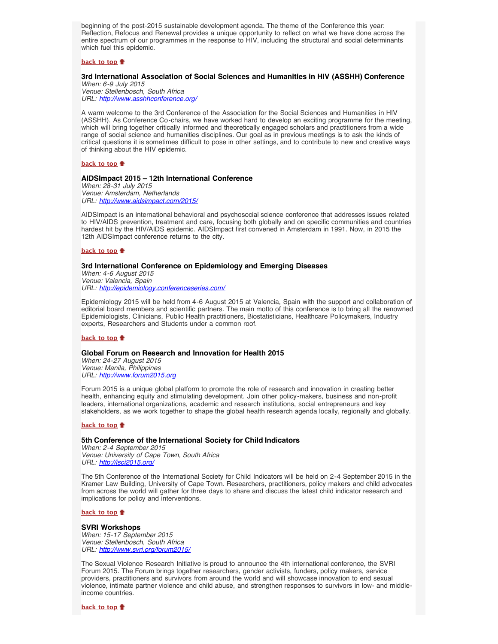beginning of the post-2015 sustainable development agenda. The theme of the Conference this year: Reflection, Refocus and Renewal provides a unique opportunity to reflect on what we have done across the entire spectrum of our programmes in the response to HIV, including the structural and social determinants which fuel this epidemic.

## **[back to top](#page-0-2)**

## <span id="page-4-0"></span>**3rd International Association of Social Sciences and Humanities in HIV (ASSHH) Conference**

*When: 6-9 July 2015 Venue: Stellenbosch, South Africa URL: <http://www.asshhconference.org/>*

A warm welcome to the 3rd Conference of the Association for the Social Sciences and Humanities in HIV (ASSHH). As Conference Co-chairs, we have worked hard to develop an exciting programme for the meeting, which will bring together critically informed and theoretically engaged scholars and practitioners from a wide range of social science and humanities disciplines. Our goal as in previous meetings is to ask the kinds of critical questions it is sometimes difficult to pose in other settings, and to contribute to new and creative ways of thinking about the HIV epidemic.

## **[back to top](#page-0-2)**

## <span id="page-4-1"></span>**AIDSImpact 2015 – 12th International Conference**

*When: 28-31 July 2015 Venue: Amsterdam, Netherlands URL: <http://www.aidsimpact.com/2015/>*

AIDSImpact is an international behavioral and psychosocial science conference that addresses issues related to HIV/AIDS prevention, treatment and care, focusing both globally and on specific communities and countries hardest hit by the HIV/AIDS epidemic. AIDSImpact first convened in Amsterdam in 1991. Now, in 2015 the 12th AIDSImpact conference returns to the city.

## **[back to top](#page-0-2)**

## <span id="page-4-2"></span>**3rd International Conference on Epidemiology and Emerging Diseases**

*When: 4-6 August 2015 Venue: Valencia, Spain URL: <http://epidemiology.conferenceseries.com/>*

Epidemiology 2015 will be held from 4-6 August 2015 at Valencia, Spain with the support and collaboration of editorial board members and scientific partners. The main motto of this conference is to bring all the renowned Epidemiologists, Clinicians, Public Health practitioners, Biostatisticians, Healthcare Policymakers, Industry experts, Researchers and Students under a common roof.

## **[back to top](#page-0-2)**

## <span id="page-4-3"></span>**Global Forum on Research and Innovation for Health 2015**

*When: 24-27 August 2015 Venue: Manila, Philippines URL: [http://www.forum2015.org](http://www.forum2015.org/)*

Forum 2015 is a unique global platform to promote the role of research and innovation in creating better health, enhancing equity and stimulating development. Join other policy-makers, business and non-profit leaders, international organizations, academic and research institutions, social entrepreneurs and key stakeholders, as we work together to shape the global health research agenda locally, regionally and globally.

## **[back to top](#page-0-2)**

## <span id="page-4-4"></span>**5th Conference of the International Society for Child Indicators**

*When: 2-4 September 2015 Venue: University of Cape Town, South Africa URL: <http://isci2015.org/>*

The 5th Conference of the International Society for Child Indicators will be held on 2-4 September 2015 in the Kramer Law Building, University of Cape Town. Researchers, practitioners, policy makers and child advocates from across the world will gather for three days to share and discuss the latest child indicator research and implications for policy and interventions.

## **[back to top](#page-0-2)**

## <span id="page-4-5"></span>**SVRI Workshops**

*When: 15-17 September 2015 Venue: Stellenbosch, South Africa URL: [http://www.svri.org/forum2015/](http://www.svri.org/forum2015/index.htm)*

The Sexual Violence Research Initiative is proud to announce the 4th international conference, the SVRI Forum 2015. The Forum brings together researchers, gender activists, funders, policy makers, service providers, practitioners and survivors from around the world and will showcase innovation to end sexual violence, intimate partner violence and child abuse, and strengthen responses to survivors in low- and middleincome countries.

**[back to top](#page-0-2)**